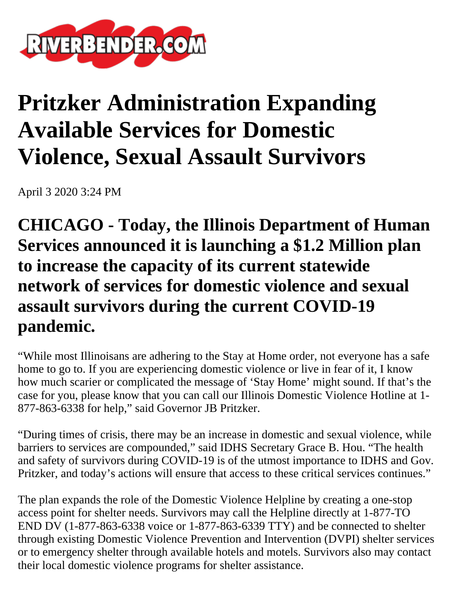

## **Pritzker Administration Expanding Available Services for Domestic Violence, Sexual Assault Survivors**

April 3 2020 3:24 PM

**CHICAGO - Today, the Illinois Department of Human Services announced it is launching a \$1.2 Million plan to increase the capacity of its current statewide network of services for domestic violence and sexual assault survivors during the current COVID-19 pandemic.**

"While most Illinoisans are adhering to the Stay at Home order, not everyone has a safe home to go to. If you are experiencing domestic violence or live in fear of it, I know how much scarier or complicated the message of 'Stay Home' might sound. If that's the case for you, please know that you can call our Illinois Domestic Violence Hotline at 1- 877-863-6338 for help," said Governor JB Pritzker.

"During times of crisis, there may be an increase in domestic and sexual violence, while barriers to services are compounded," said IDHS Secretary Grace B. Hou. "The health and safety of survivors during COVID-19 is of the utmost importance to IDHS and Gov. Pritzker, and today's actions will ensure that access to these critical services continues."

The plan expands the role of the Domestic Violence Helpline by creating a one-stop access point for shelter needs. Survivors may call the Helpline directly at 1-877-TO END DV (1-877-863-6338 voice or 1-877-863-6339 TTY) and be connected to shelter through existing Domestic Violence Prevention and Intervention (DVPI) shelter services or to emergency shelter through available hotels and motels. Survivors also may contact their local domestic violence programs for shelter assistance.